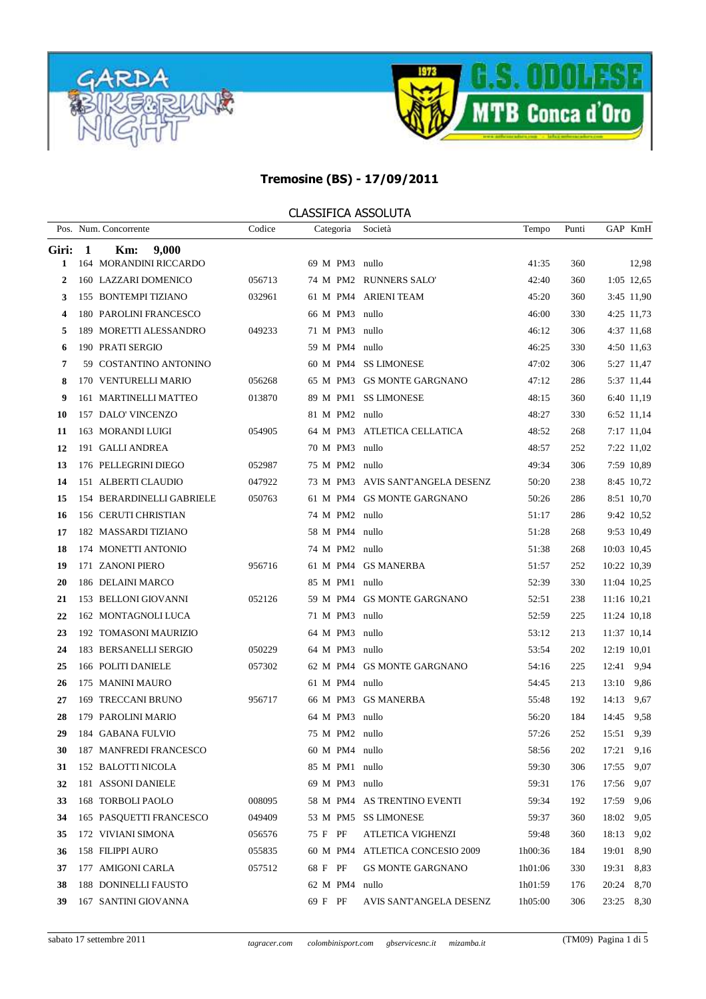



|              |   | Pos. Num. Concorrente     | Codice | Categoria      | Società                          | Tempo   | Punti |             | GAP KmH    |
|--------------|---|---------------------------|--------|----------------|----------------------------------|---------|-------|-------------|------------|
| Giri:        | 1 | 9,000<br>Km:              |        |                |                                  |         |       |             |            |
| 1            |   | 164 MORANDINI RICCARDO    |        | 69 M PM3 nullo |                                  | 41:35   | 360   |             | 12,98      |
| $\mathbf{2}$ |   | 160 LAZZARI DOMENICO      | 056713 |                | 74 M PM2 RUNNERS SALO'           | 42:40   | 360   |             | 1:05 12,65 |
| 3            |   | 155 BONTEMPI TIZIANO      | 032961 |                | 61 M PM4 ARIENI TEAM             | 45:20   | 360   |             | 3:45 11,90 |
| 4            |   | 180 PAROLINI FRANCESCO    |        | 66 M PM3 nullo |                                  | 46:00   | 330   |             | 4:25 11,73 |
| 5            |   | 189 MORETTI ALESSANDRO    | 049233 | 71 M PM3 nullo |                                  | 46:12   | 306   |             | 4:37 11,68 |
| 6            |   | 190 PRATI SERGIO          |        | 59 M PM4 nullo |                                  | 46:25   | 330   |             | 4:50 11,63 |
| 7            |   | 59 COSTANTINO ANTONINO    |        |                | 60 M PM4 SS LIMONESE             | 47:02   | 306   |             | 5:27 11,47 |
| 8            |   | 170 VENTURELLI MARIO      | 056268 |                | 65 M PM3 GS MONTE GARGNANO       | 47:12   | 286   |             | 5:37 11,44 |
| 9            |   | 161 MARTINELLI MATTEO     | 013870 |                | 89 M PM1 SS LIMONESE             | 48:15   | 360   |             | 6:40 11,19 |
| 10           |   | 157 DALO' VINCENZO        |        | 81 M PM2 nullo |                                  | 48:27   | 330   |             | 6:52 11,14 |
| 11           |   | 163 MORANDI LUIGI         | 054905 |                | 64 M PM3 ATLETICA CELLATICA      | 48:52   | 268   |             | 7:17 11,04 |
| 12           |   | 191 GALLI ANDREA          |        | 70 M PM3 nullo |                                  | 48:57   | 252   |             | 7:22 11,02 |
| 13           |   | 176 PELLEGRINI DIEGO      | 052987 | 75 M PM2 nullo |                                  | 49:34   | 306   |             | 7:59 10.89 |
| 14           |   | 151 ALBERTI CLAUDIO       | 047922 |                | 73 M PM3 AVIS SANT'ANGELA DESENZ | 50:20   | 238   |             | 8:45 10,72 |
| 15           |   | 154 BERARDINELLI GABRIELE | 050763 |                | 61 M PM4 GS MONTE GARGNANO       | 50:26   | 286   |             | 8:51 10,70 |
| 16           |   | 156 CERUTI CHRISTIAN      |        | 74 M PM2 nullo |                                  | 51:17   | 286   |             | 9:42 10,52 |
| 17           |   | 182 MASSARDI TIZIANO      |        | 58 M PM4 nullo |                                  | 51:28   | 268   |             | 9:53 10,49 |
| 18           |   | 174 MONETTI ANTONIO       |        | 74 M PM2 nullo |                                  | 51:38   | 268   | 10:03 10,45 |            |
| 19           |   | 171 ZANONI PIERO          | 956716 |                | 61 M PM4 GS MANERBA              | 51:57   | 252   | 10:22 10,39 |            |
| 20           |   | 186 DELAINI MARCO         |        | 85 M PM1 nullo |                                  | 52:39   | 330   | 11:04 10,25 |            |
| 21           |   | 153 BELLONI GIOVANNI      | 052126 |                | 59 M PM4 GS MONTE GARGNANO       | 52:51   | 238   | 11:16 10,21 |            |
| 22           |   | 162 MONTAGNOLI LUCA       |        | 71 M PM3 nullo |                                  | 52:59   | 225   | 11:24 10,18 |            |
| 23           |   | 192 TOMASONI MAURIZIO     |        | 64 M PM3 nullo |                                  | 53:12   | 213   | 11:37 10,14 |            |
| 24           |   | 183 BERSANELLI SERGIO     | 050229 | 64 M PM3 nullo |                                  | 53:54   | 202   | 12:19 10,01 |            |
| 25           |   | 166 POLITI DANIELE        | 057302 |                | 62 M PM4 GS MONTE GARGNANO       | 54:16   | 225   | 12:41       | 9,94       |
| 26           |   | 175 MANINI MAURO          |        | 61 M PM4 nullo |                                  | 54:45   | 213   | 13:10       | 9,86       |
| 27           |   | 169 TRECCANI BRUNO        | 956717 |                | 66 M PM3 GS MANERBA              | 55:48   | 192   | 14:13       | 9,67       |
| 28           |   | 179 PAROLINI MARIO        |        | 64 M PM3 nullo |                                  | 56:20   | 184   | 14:45       | 9,58       |
| 29           |   | 184 GABANA FULVIO         |        | 75 M PM2 nullo |                                  | 57:26   | 252   | 15:51       | 9,39       |
| 30           |   | 187 MANFREDI FRANCESCO    |        | 60 M PM4 nullo |                                  | 58:56   | 202   | 17:21 9,16  |            |
| 31           |   | 152 BALOTTI NICOLA        |        | 85 M PM1 nullo |                                  | 59:30   | 306   | 17:55 9,07  |            |
| 32           |   | 181 ASSONI DANIELE        |        | 69 M PM3 nullo |                                  | 59:31   | 176   | 17:56       | 9,07       |
| 33           |   | 168 TORBOLI PAOLO         | 008095 |                | 58 M PM4 AS TRENTINO EVENTI      | 59:34   | 192   | 17:59       | 9,06       |
| 34           |   | 165 PASQUETTI FRANCESCO   | 049409 |                | 53 M PM5 SS LIMONESE             | 59:37   | 360   | 18:02       | 9,05       |
| 35           |   | 172 VIVIANI SIMONA        | 056576 | 75 F PF        | ATLETICA VIGHENZI                | 59:48   | 360   | 18:13       | 9,02       |
| 36           |   | 158 FILIPPI AURO          | 055835 | 60 M PM4       | ATLETICA CONCESIO 2009           | 1h00:36 | 184   | 19:01       | 8,90       |
| 37           |   | 177 AMIGONI CARLA         | 057512 | 68 F PF        | GS MONTE GARGNANO                | 1h01:06 | 330   | 19:31       | 8,83       |
| 38           |   | 188 DONINELLI FAUSTO      |        | 62 M PM4       | nullo                            | 1h01:59 | 176   | 20:24 8,70  |            |
| 39           |   | 167 SANTINI GIOVANNA      |        | 69 F PF        | AVIS SANT'ANGELA DESENZ          | 1h05:00 | 306   | 23:25 8,30  |            |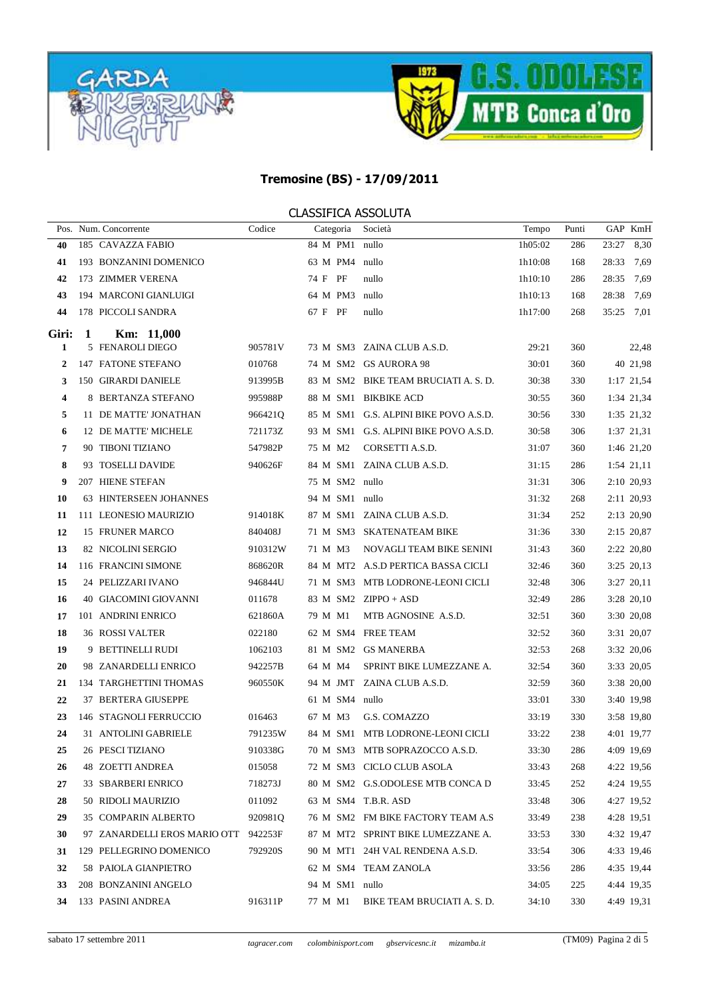



|                  |   | Pos. Num. Concorrente                | Codice  | Categoria      | Società                               | Tempo   | Punti |            | GAP KmH    |
|------------------|---|--------------------------------------|---------|----------------|---------------------------------------|---------|-------|------------|------------|
| 40               |   | 185 CAVAZZA FABIO                    |         | 84 M PM1 nullo |                                       | 1h05:02 | 286   | 23:27      | 8,30       |
| 41               |   | 193 BONZANINI DOMENICO               |         | 63 M PM4 nullo |                                       | 1h10:08 | 168   | 28:33      | 7,69       |
| 42               |   | 173 ZIMMER VERENA                    |         | 74 F PF        | nullo                                 | 1h10:10 | 286   | 28:35      | 7,69       |
| 43               |   | 194 MARCONI GIANLUIGI                |         | 64 M PM3 nullo |                                       | 1h10:13 | 168   | 28:38      | 7,69       |
| 44               |   | 178 PICCOLI SANDRA                   |         | 67 F PF        | nullo                                 | 1h17:00 | 268   | 35:25 7,01 |            |
| Giri:            | 1 | Km: 11,000                           |         |                |                                       |         |       |            |            |
| 1                |   | 5 FENAROLI DIEGO                     | 905781V |                | 73 M SM3 ZAINA CLUB A.S.D.            | 29:21   | 360   |            | 22,48      |
| $\boldsymbol{2}$ |   | 147 FATONE STEFANO                   | 010768  |                | 74 M SM2 GS AURORA 98                 | 30:01   | 360   |            | 40 21,98   |
| 3                |   | 150 GIRARDI DANIELE                  | 913995B |                | 83 M SM2 BIKE TEAM BRUCIATI A. S. D.  | 30:38   | 330   |            | 1:17 21,54 |
| 4                |   | 8 BERTANZA STEFANO                   | 995988P |                | 88 M SM1 BIKBIKE ACD                  | 30:55   | 360   |            | 1:34 21,34 |
| 5                |   | 11 DE MATTE' JONATHAN                | 966421Q |                | 85 M SM1 G.S. ALPINI BIKE POVO A.S.D. | 30:56   | 330   |            | 1:35 21,32 |
| 6                |   | 12 DE MATTE' MICHELE                 | 721173Z |                | 93 M SM1 G.S. ALPINI BIKE POVO A.S.D. | 30:58   | 306   |            | 1:37 21,31 |
| 7                |   | 90 TIBONI TIZIANO                    | 547982P | 75 M M2        | CORSETTI A.S.D.                       | 31:07   | 360   |            | 1:46 21,20 |
| 8                |   | 93 TOSELLI DAVIDE                    | 940626F |                | 84 M SM1 ZAINA CLUB A.S.D.            | 31:15   | 286   |            | 1:54 21,11 |
| 9                |   | 207 HIENE STEFAN                     |         | 75 M SM2 nullo |                                       | 31:31   | 306   |            | 2:10 20,93 |
| 10               |   | 63 HINTERSEEN JOHANNES               |         | 94 M SM1 nullo |                                       | 31:32   | 268   |            | 2:11 20,93 |
| 11               |   | 111 LEONESIO MAURIZIO                | 914018K |                | 87 M SM1 ZAINA CLUB A.S.D.            | 31:34   | 252   |            | 2:13 20,90 |
| 12               |   | 15 FRUNER MARCO                      | 840408J |                | 71 M SM3 SKATENATEAM BIKE             | 31:36   | 330   |            | 2:15 20,87 |
| 13               |   | 82 NICOLINI SERGIO                   | 910312W | 71 M M3        | NOVAGLI TEAM BIKE SENINI              | 31:43   | 360   |            | 2:22 20,80 |
| 14               |   | 116 FRANCINI SIMONE                  | 868620R |                | 84 M MT2 A.S.D PERTICA BASSA CICLI    | 32:46   | 360   |            | 3:25 20,13 |
| 15               |   | 24 PELIZZARI IVANO                   | 946844U |                | 71 M SM3 MTB LODRONE-LEONI CICLI      | 32:48   | 306   |            | 3:27 20,11 |
| 16               |   | 40 GIACOMINI GIOVANNI                | 011678  |                | 83 M SM2 ZIPPO + ASD                  | 32:49   | 286   |            | 3:28 20,10 |
| 17               |   | 101 ANDRINI ENRICO                   | 621860A | 79 M M1        | MTB AGNOSINE A.S.D.                   | 32:51   | 360   |            | 3:30 20,08 |
| 18               |   | <b>36 ROSSI VALTER</b>               | 022180  |                | 62 M SM4 FREE TEAM                    | 32:52   | 360   |            | 3:31 20,07 |
| 19               |   | 9 BETTINELLI RUDI                    | 1062103 |                | 81 M SM2 GS MANERBA                   | 32:53   | 268   |            | 3:32 20,06 |
| 20               |   | 98 ZANARDELLI ENRICO                 | 942257B | 64 M M4        | SPRINT BIKE LUMEZZANE A.              | 32:54   | 360   |            | 3:33 20,05 |
| 21               |   | 134 TARGHETTINI THOMAS               | 960550K |                | 94 M JMT ZAINA CLUB A.S.D.            | 32:59   | 360   |            | 3:38 20,00 |
| 22               |   | 37 BERTERA GIUSEPPE                  |         | 61 M SM4 nullo |                                       | 33:01   | 330   |            | 3:40 19,98 |
| 23               |   | 146 STAGNOLI FERRUCCIO               | 016463  | 67 M M3        | G.S. COMAZZO                          | 33:19   | 330   |            | 3:58 19,80 |
| 24               |   | 31 ANTOLINI GABRIELE                 | 791235W |                | 84 M SM1 MTB LODRONE-LEONI CICLI      | 33:22   | 238   |            | 4:01 19,77 |
| 25               |   | 26 PESCI TIZIANO                     | 910338G |                | 70 M SM3 MTB SOPRAZOCCO A.S.D.        | 33:30   | 286   |            | 4:09 19,69 |
| 26               |   | 48 ZOETTI ANDREA                     | 015058  |                | 72 M SM3 CICLO CLUB ASOLA             | 33:43   | 268   |            | 4:22 19,56 |
| 27               |   | 33 SBARBERI ENRICO                   | 718273J |                | 80 M SM2 G.S.ODOLESE MTB CONCA D      | 33:45   | 252   |            | 4:24 19,55 |
| 28               |   | 50 RIDOLI MAURIZIO                   | 011092  |                | 63 M SM4 T.B.R. ASD                   | 33:48   | 306   |            | 4:27 19,52 |
| 29               |   | 35 COMPARIN ALBERTO                  | 920981Q |                | 76 M SM2 FM BIKE FACTORY TEAM A.S     | 33:49   | 238   |            | 4:28 19,51 |
| 30               |   | 97 ZANARDELLI EROS MARIO OTT 942253F |         |                | 87 M MT2 SPRINT BIKE LUMEZZANE A.     | 33:53   | 330   |            | 4:32 19,47 |
| 31               |   | 129 PELLEGRINO DOMENICO              | 792920S |                | 90 M MT1 24H VAL RENDENA A.S.D.       | 33:54   | 306   |            | 4:33 19,46 |
| 32               |   | 58 PAIOLA GIANPIETRO                 |         |                | 62 M SM4 TEAM ZANOLA                  | 33:56   | 286   |            | 4:35 19,44 |
| 33               |   | 208 BONZANINI ANGELO                 |         | 94 M SM1 nullo |                                       | 34:05   | 225   |            | 4:44 19,35 |
|                  |   | 34 133 PASINI ANDREA                 | 916311P | 77 M M1        | BIKE TEAM BRUCIATI A. S. D.           | 34:10   | 330   |            | 4:49 19,31 |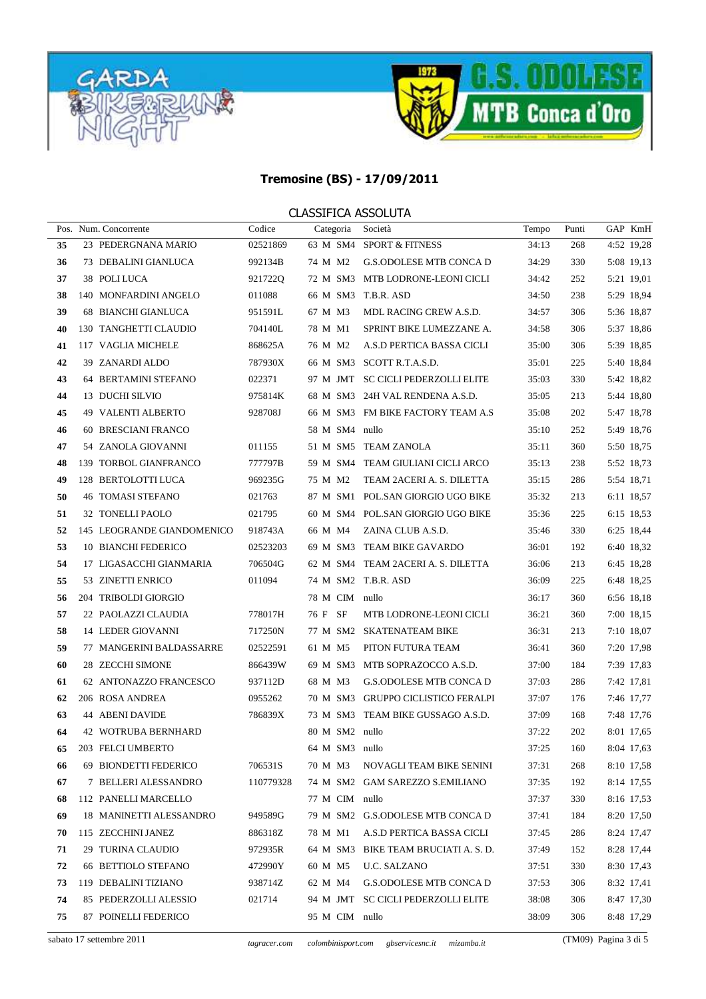



|    | Pos. Num. Concorrente      | Codice    | Categoria           | Società                              | Tempo | Punti | GAP KmH    |
|----|----------------------------|-----------|---------------------|--------------------------------------|-------|-------|------------|
| 35 | 23 PEDERGNANA MARIO        | 02521869  |                     | 63 M SM4 SPORT & FITNESS             | 34:13 | 268   | 4:52 19,28 |
| 36 | 73 DEBALINI GIANLUCA       | 992134B   | 74 M M2             | <b>G.S.ODOLESE MTB CONCA D</b>       | 34:29 | 330   | 5:08 19,13 |
| 37 | 38 POLI LUCA               | 921722Q   |                     | 72 M SM3 MTB LODRONE-LEONI CICLI     | 34:42 | 252   | 5:21 19,01 |
| 38 | 140 MONFARDINI ANGELO      | 011088    | 66 M SM3 T.B.R. ASD |                                      | 34:50 | 238   | 5:29 18,94 |
| 39 | <b>68 BIANCHI GIANLUCA</b> | 951591L   | 67 M M3             | MDL RACING CREW A.S.D.               | 34:57 | 306   | 5:36 18,87 |
| 40 | 130 TANGHETTI CLAUDIO      | 704140L   | 78 M M1             | SPRINT BIKE LUMEZZANE A.             | 34:58 | 306   | 5:37 18,86 |
| 41 | 117 VAGLIA MICHELE         | 868625A   | 76 M M2             | A.S.D PERTICA BASSA CICLI            | 35:00 | 306   | 5:39 18,85 |
| 42 | 39 ZANARDI ALDO            | 787930X   |                     | 66 M SM3 SCOTT R.T.A.S.D.            | 35:01 | 225   | 5:40 18,84 |
| 43 | 64 BERTAMINI STEFANO       | 022371    |                     | 97 M JMT SC CICLI PEDERZOLLI ELITE   | 35:03 | 330   | 5:42 18,82 |
| 44 | 13 DUCHI SILVIO            | 975814K   |                     | 68 M SM3 24H VAL RENDENA A.S.D.      | 35:05 | 213   | 5:44 18,80 |
| 45 | 49 VALENTI ALBERTO         | 928708J   |                     | 66 M SM3 FM BIKE FACTORY TEAM A.S    | 35:08 | 202   | 5:47 18,78 |
| 46 | 60 BRESCIANI FRANCO        |           | 58 M SM4 nullo      |                                      | 35:10 | 252   | 5:49 18,76 |
| 47 | 54 ZANOLA GIOVANNI         | 011155    |                     | 51 M SM5 TEAM ZANOLA                 | 35:11 | 360   | 5:50 18,75 |
| 48 | 139 TORBOL GIANFRANCO      | 777797B   |                     | 59 M SM4 TEAM GIULIANI CICLI ARCO    | 35:13 | 238   | 5:52 18,73 |
| 49 | 128 BERTOLOTTI LUCA        | 969235G   | 75 M M2             | TEAM 2ACERI A. S. DILETTA            | 35:15 | 286   | 5:54 18,71 |
| 50 | <b>46 TOMASI STEFANO</b>   | 021763    |                     | 87 M SM1 POL.SAN GIORGIO UGO BIKE    | 35:32 | 213   | 6:11 18,57 |
| 51 | 32 TONELLI PAOLO           | 021795    |                     | 60 M SM4 POL.SAN GIORGIO UGO BIKE    | 35:36 | 225   | 6:15 18,53 |
| 52 | 145 LEOGRANDE GIANDOMENICO | 918743A   | 66 M M4             | ZAINA CLUB A.S.D.                    | 35:46 | 330   | 6:25 18,44 |
| 53 | 10 BIANCHI FEDERICO        | 02523203  |                     | 69 M SM3 TEAM BIKE GAVARDO           | 36:01 | 192   | 6:40 18,32 |
| 54 | 17 LIGASACCHI GIANMARIA    | 706504G   |                     | 62 M SM4 TEAM 2ACERI A. S. DILETTA   | 36:06 | 213   | 6:45 18,28 |
| 55 | 53 ZINETTI ENRICO          | 011094    | 74 M SM2 T.B.R. ASD |                                      | 36:09 | 225   | 6:48 18,25 |
| 56 | 204 TRIBOLDI GIORGIO       |           | 78 M CIM nullo      |                                      | 36:17 | 360   | 6:56 18,18 |
| 57 | 22 PAOLAZZI CLAUDIA        | 778017H   | 76 F SF             | MTB LODRONE-LEONI CICLI              | 36:21 | 360   | 7:00 18,15 |
| 58 | 14 LEDER GIOVANNI          | 717250N   |                     | 77 M SM2 SKATENATEAM BIKE            | 36:31 | 213   | 7:10 18,07 |
| 59 | 77 MANGERINI BALDASSARRE   | 02522591  | 61 M M5             | PITON FUTURA TEAM                    | 36:41 | 360   | 7:20 17,98 |
| 60 | 28 ZECCHI SIMONE           | 866439W   |                     | 69 M SM3 MTB SOPRAZOCCO A.S.D.       | 37:00 | 184   | 7:39 17,83 |
| 61 | 62 ANTONAZZO FRANCESCO     | 937112D   | 68 M M3             | <b>G.S.ODOLESE MTB CONCA D</b>       | 37:03 | 286   | 7:42 17,81 |
| 62 | 206 ROSA ANDREA            | 0955262   |                     | 70 M SM3 GRUPPO CICLISTICO FERALPI   | 37:07 | 176   | 7:46 17,77 |
| 63 | 44 ABENI DAVIDE            | 786839X   |                     | 73 M SM3 TEAM BIKE GUSSAGO A.S.D.    | 37:09 | 168   | 7:48 17,76 |
| 64 | <b>42 WOTRUBA BERNHARD</b> |           | 80 M SM2 nullo      |                                      | 37:22 | 202   | 8:01 17,65 |
| 65 | 203 FELCI UMBERTO          |           | 64 M SM3 nullo      |                                      | 37:25 | 160   | 8:04 17,63 |
| 66 | 69 BIONDETTI FEDERICO      | 706531S   | 70 M M3             | NOVAGLI TEAM BIKE SENINI             | 37:31 | 268   | 8:10 17,58 |
| 67 | 7 BELLERI ALESSANDRO       | 110779328 |                     | 74 M SM2 GAM SAREZZO S.EMILIANO      | 37:35 | 192   | 8:14 17,55 |
| 68 | 112 PANELLI MARCELLO       |           | 77 M CIM nullo      |                                      | 37:37 | 330   | 8:16 17,53 |
| 69 | 18 MANINETTI ALESSANDRO    | 949589G   |                     | 79 M SM2 G.S.ODOLESE MTB CONCA D     | 37:41 | 184   | 8:20 17,50 |
| 70 | 115 ZECCHINI JANEZ         | 886318Z   | 78 M M1             | A.S.D PERTICA BASSA CICLI            | 37:45 | 286   | 8:24 17,47 |
| 71 | 29 TURINA CLAUDIO          | 972935R   |                     | 64 M SM3 BIKE TEAM BRUCIATI A. S. D. | 37:49 | 152   | 8:28 17,44 |
| 72 | 66 BETTIOLO STEFANO        | 472990Y   | 60 M M5             | U.C. SALZANO                         | 37:51 | 330   | 8:30 17,43 |
| 73 | 119 DEBALINI TIZIANO       | 938714Z   | 62 M M4             | G.S.ODOLESE MTB CONCA D              | 37:53 | 306   | 8:32 17,41 |
| 74 | 85 PEDERZOLLI ALESSIO      | 021714    |                     | 94 M JMT SC CICLI PEDERZOLLI ELITE   | 38:08 | 306   | 8:47 17,30 |
| 75 | 87 POINELLI FEDERICO       |           | 95 M CIM nullo      |                                      | 38:09 | 306   | 8:48 17,29 |
|    |                            |           |                     |                                      |       |       |            |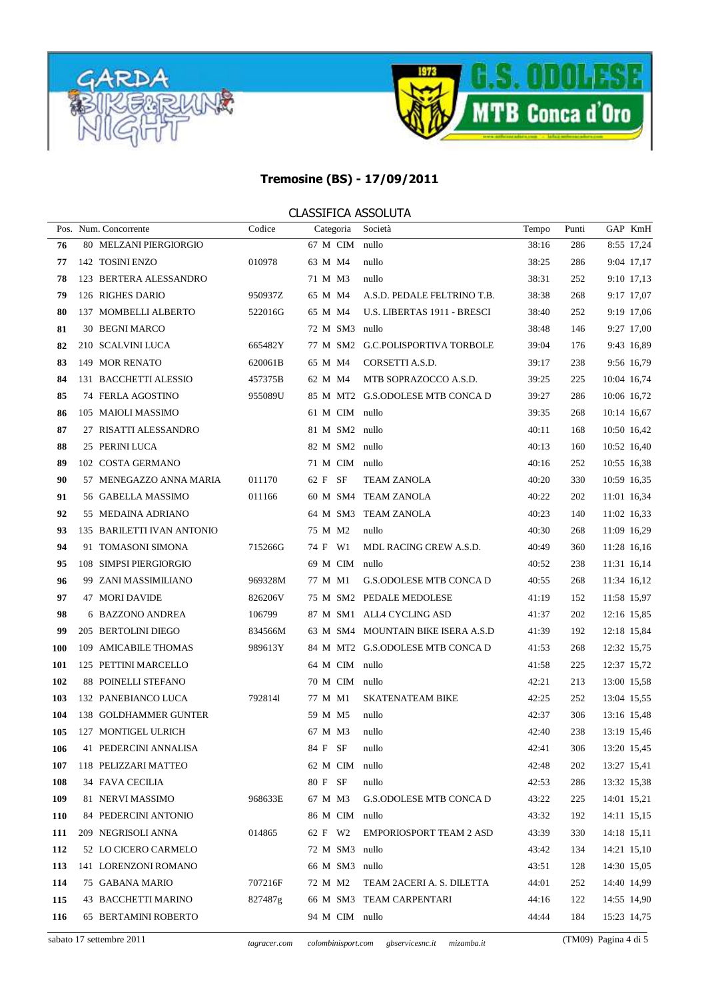



|            | Pos. Num. Concorrente      | Codice  | Categoria      | Società                            | Tempo | Punti |             | GAP KmH    |
|------------|----------------------------|---------|----------------|------------------------------------|-------|-------|-------------|------------|
| 76         | 80 MELZANI PIERGIORGIO     |         | 67 M CIM       | nullo                              | 38:16 | 286   |             | 8:55 17,24 |
| 77         | 142 TOSINI ENZO            | 010978  | 63 M M4        | nullo                              | 38:25 | 286   |             | 9:04 17,17 |
| 78         | 123 BERTERA ALESSANDRO     |         | 71 M M3        | nullo                              | 38:31 | 252   |             | 9:10 17,13 |
| 79         | 126 RIGHES DARIO           | 950937Z | 65 M M4        | A.S.D. PEDALE FELTRINO T.B.        | 38:38 | 268   |             | 9:17 17,07 |
| 80         | 137 MOMBELLI ALBERTO       | 522016G | 65 M M4        | U.S. LIBERTAS 1911 - BRESCI        | 38:40 | 252   |             | 9:19 17,06 |
| 81         | 30 BEGNI MARCO             |         | 72 M SM3 nullo |                                    | 38:48 | 146   |             | 9:27 17,00 |
| 82         | 210 SCALVINI LUCA          | 665482Y |                | 77 M SM2 G.C.POLISPORTIVA TORBOLE  | 39:04 | 176   |             | 9:43 16,89 |
| 83         | 149 MOR RENATO             | 620061B | 65 M M4        | CORSETTI A.S.D.                    | 39:17 | 238   |             | 9:56 16,79 |
| 84         | 131 BACCHETTI ALESSIO      | 457375B | 62 M M4        | MTB SOPRAZOCCO A.S.D.              | 39:25 | 225   | 10:04 16,74 |            |
| 85         | 74 FERLA AGOSTINO          | 955089U |                | 85 M MT2 G.S.ODOLESE MTB CONCA D   | 39:27 | 286   | 10:06 16,72 |            |
| 86         | 105 MAIOLI MASSIMO         |         | 61 M CIM nullo |                                    | 39:35 | 268   | 10:14 16,67 |            |
| 87         | 27 RISATTI ALESSANDRO      |         | 81 M SM2 nullo |                                    | 40:11 | 168   | 10:50 16,42 |            |
| 88         | 25 PERINI LUCA             |         | 82 M SM2 nullo |                                    | 40:13 | 160   | 10:52 16,40 |            |
| 89         | 102 COSTA GERMANO          |         | 71 M CIM nullo |                                    | 40:16 | 252   | 10:55 16,38 |            |
| 90         | 57 MENEGAZZO ANNA MARIA    | 011170  | 62 F SF        | <b>TEAM ZANOLA</b>                 | 40:20 | 330   | 10:59 16,35 |            |
| 91         | 56 GABELLA MASSIMO         | 011166  |                | 60 M SM4 TEAM ZANOLA               | 40:22 | 202   | 11:01 16,34 |            |
| 92         | 55 MEDAINA ADRIANO         |         |                | 64 M SM3 TEAM ZANOLA               | 40:23 | 140   | 11:02 16,33 |            |
| 93         | 135 BARILETTI IVAN ANTONIO |         | 75 M M2        | nullo                              | 40:30 | 268   | 11:09 16,29 |            |
| 94         | 91 TOMASONI SIMONA         | 715266G | 74 F W1        | MDL RACING CREW A.S.D.             | 40:49 | 360   | 11:28 16,16 |            |
| 95         | 108 SIMPSI PIERGIORGIO     |         | 69 M CIM       | nullo                              | 40:52 | 238   | 11:31 16,14 |            |
| 96         | 99 ZANI MASSIMILIANO       | 969328M | 77 M M1        | G.S.ODOLESE MTB CONCA D            | 40:55 | 268   | 11:34 16,12 |            |
| 97         | <b>47 MORI DAVIDE</b>      | 826206V |                | 75 M SM2 PEDALE MEDOLESE           | 41:19 | 152   | 11:58 15,97 |            |
| 98         | 6 BAZZONO ANDREA           | 106799  |                | 87 M SM1 ALL4 CYCLING ASD          | 41:37 | 202   | 12:16 15,85 |            |
| 99         | 205 BERTOLINI DIEGO        | 834566M |                | 63 M SM4 MOUNTAIN BIKE ISERA A.S.D | 41:39 | 192   | 12:18 15,84 |            |
| <b>100</b> | 109 AMICABILE THOMAS       | 989613Y |                | 84 M MT2 G.S.ODOLESE MTB CONCA D   | 41:53 | 268   | 12:32 15,75 |            |
| 101        | 125 PETTINI MARCELLO       |         | 64 M CIM nullo |                                    | 41:58 | 225   | 12:37 15,72 |            |
| 102        | 88 POINELLI STEFANO        |         | 70 M CIM nullo |                                    | 42:21 | 213   | 13:00 15,58 |            |
| 103        | 132 PANEBIANCO LUCA        | 7928141 | 77 M M1        | <b>SKATENATEAM BIKE</b>            | 42:25 | 252   | 13:04 15,55 |            |
| 104        | 138 GOLDHAMMER GUNTER      |         | 59 M M5        | nullo                              | 42:37 | 306   | 13:16 15,48 |            |
| 105        | 127 MONTIGEL ULRICH        |         | 67 M M3        | nullo                              | 42:40 | 238   | 13:19 15,46 |            |
| 106        | 41 PEDERCINI ANNALISA      |         | 84 F SF        | nullo                              | 42:41 | 306   | 13:20 15,45 |            |
| 107        | 118 PELIZZARI MATTEO       |         | 62 M CIM nullo |                                    | 42:48 | 202   | 13:27 15,41 |            |
| 108        | 34 FAVA CECILIA            |         | 80 F SF        | nullo                              | 42:53 | 286   | 13:32 15,38 |            |
| 109        | 81 NERVI MASSIMO           | 968633E | 67 M M3        | G.S.ODOLESE MTB CONCA D            | 43:22 | 225   | 14:01 15,21 |            |
| 110        | 84 PEDERCINI ANTONIO       |         | 86 M CIM nullo |                                    | 43:32 | 192   | 14:11 15,15 |            |
| 111        | 209 NEGRISOLI ANNA         | 014865  | 62 F W2        | <b>EMPORIOSPORT TEAM 2 ASD</b>     | 43:39 | 330   | 14:18 15,11 |            |
| 112        | 52 LO CICERO CARMELO       |         | 72 M SM3 nullo |                                    | 43:42 | 134   | 14:21 15,10 |            |
| 113        | 141 LORENZONI ROMANO       |         | 66 M SM3 nullo |                                    | 43:51 | 128   | 14:30 15,05 |            |
| 114        | 75 GABANA MARIO            | 707216F |                | 72 M M2 TEAM 2ACERI A. S. DILETTA  | 44:01 | 252   | 14:40 14,99 |            |
| 115        | 43 BACCHETTI MARINO        | 827487g |                | 66 M SM3 TEAM CARPENTARI           | 44:16 | 122   | 14:55 14,90 |            |
| 116        | 65 BERTAMINI ROBERTO       |         | 94 M CIM nullo |                                    | 44:44 | 184   | 15:23 14,75 |            |